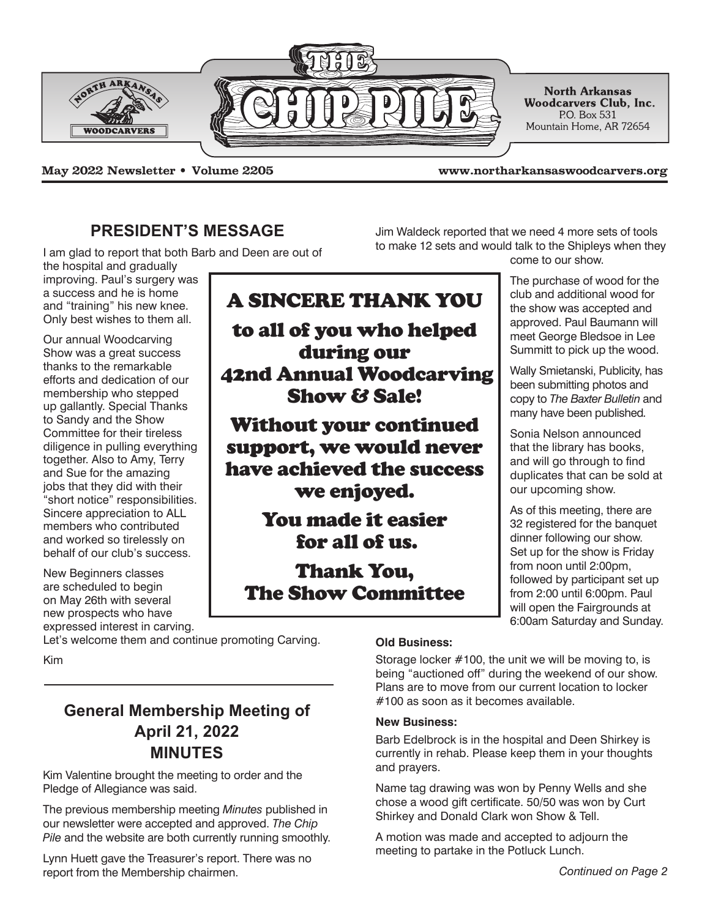

**May 2022 Newsletter • Volume 2205 www.northarkansaswoodcarvers.org**

Jim Waldeck reported that we need 4 more sets of tools to make 12 sets and would talk to the Shipleys when they

## **PRESIDENT'S MESSAGE**

I am glad to report that both Barb and Deen are out of

the hospital and gradually improving. Paul's surgery was a success and he is home and "training" his new knee. Only best wishes to them all.

Our annual Woodcarving Show was a great success thanks to the remarkable efforts and dedication of our membership who stepped up gallantly. Special Thanks to Sandy and the Show Committee for their tireless diligence in pulling everything together. Also to Amy, Terry and Sue for the amazing jobs that they did with their "short notice" responsibilities. Sincere appreciation to ALL members who contributed and worked so tirelessly on behalf of our club's success.

New Beginners classes are scheduled to begin on May 26th with several new prospects who have expressed interest in carving.

Let's welcome them and continue promoting Carving.

Kim

# **General Membership Meeting of April 21, 2022 MINUTES**

Kim Valentine brought the meeting to order and the Pledge of Allegiance was said.

The previous membership meeting *Minutes* published in our newsletter were accepted and approved. *The Chip Pile* and the website are both currently running smoothly.

Lynn Huett gave the Treasurer's report. There was no report from the Membership chairmen. *Continued on Page 2*

# A SINCERE THANK YOU to all of you who helped during our 42nd Annual Woodcarving Show & Sale!

Without your continued support, we would never have achieved the success we enjoyed.

> You made it easier for all of us.

Thank You, The Show Committee come to our show.

The purchase of wood for the club and additional wood for the show was accepted and approved. Paul Baumann will meet George Bledsoe in Lee Summitt to pick up the wood.

Wally Smietanski, Publicity, has been submitting photos and copy to *The Baxter Bulletin* and many have been published*.*

Sonia Nelson announced that the library has books, and will go through to find duplicates that can be sold at our upcoming show.

As of this meeting, there are 32 registered for the banquet dinner following our show. Set up for the show is Friday from noon until 2:00pm, followed by participant set up from 2:00 until 6:00pm. Paul will open the Fairgrounds at 6:00am Saturday and Sunday.

### **Old Business:**

Storage locker #100, the unit we will be moving to, is being "auctioned off" during the weekend of our show. Plans are to move from our current location to locker #100 as soon as it becomes available.

### **New Business:**

Barb Edelbrock is in the hospital and Deen Shirkey is currently in rehab. Please keep them in your thoughts and prayers.

Name tag drawing was won by Penny Wells and she chose a wood gift certificate. 50/50 was won by Curt Shirkey and Donald Clark won Show & Tell.

A motion was made and accepted to adjourn the meeting to partake in the Potluck Lunch.